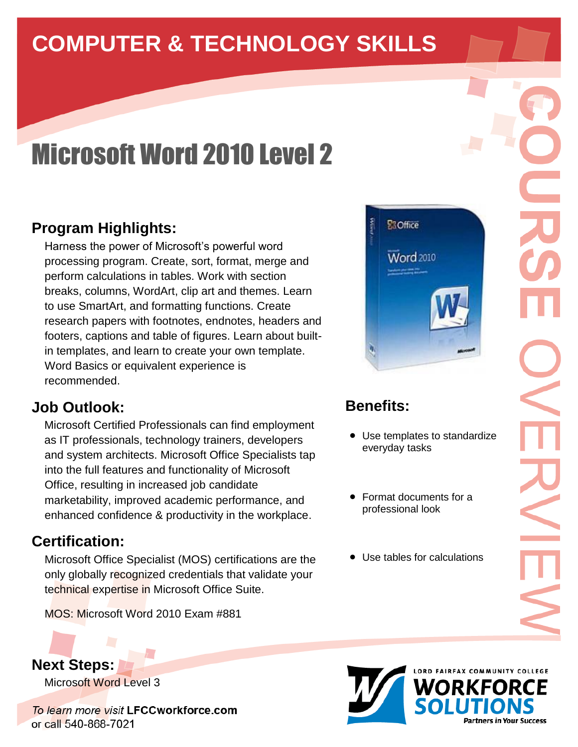# **COMPUTER & TECHNOLOGY SKILLS**

# Microsoft Word 2010 Level 2

## **Program Highlights:**

Harness the power of Microsoft's powerful word processing program. Create, sort, format, merge and perform calculations in tables. Work with section breaks, columns, WordArt, clip art and themes. Learn to use SmartArt, and formatting functions. Create research papers with footnotes, endnotes, headers and footers, captions and table of figures. Learn about builtin templates, and learn to create your own template. Word Basics or equivalent experience is recommended.

#### **Job Outlook:**

 Microsoft Certified Professionals can find employment as IT professionals, technology trainers, developers and system architects. Microsoft Office Specialists tap into the full features and functionality of Microsoft Office, resulting in increased job candidate marketability, improved academic performance, and enhanced confidence & productivity in the workplace.

#### **Certification:**

Microsoft Office Specialist (MOS) certifications are the only globally recognized credentials that validate your technical expertise in Microsoft Office Suite.

MOS: Microsoft Word 2010 Exam #881



# **Benefits:**

- Use templates to standardize everyday tasks
- Format documents for a professional look
- Use tables for calculations



**Next Steps:** Microsoft Word Level 3

To learn more visit LFCCworkforce.com or call 540-868-7021